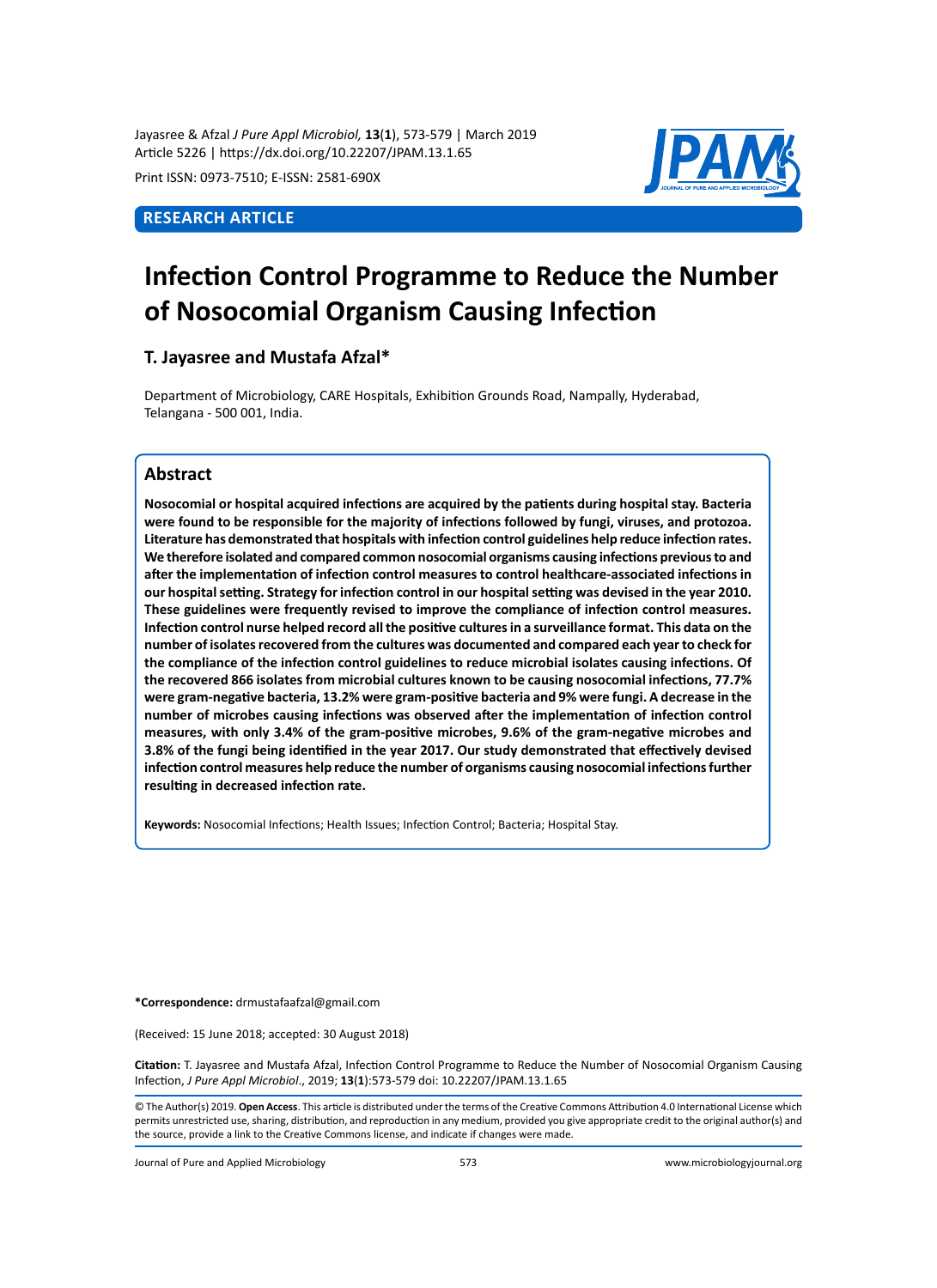Jayasree & Afzal *J Pure Appl Microbiol,* **13**(**1**), 573-579 | March 2019 Article 5226 | https://dx.doi.org/10.22207/JPAM.13.1.65

Print ISSN: 0973-7510; E-ISSN: 2581-690X

## **Research Article**



# **Infection Control Programme to Reduce the Number of Nosocomial Organism Causing Infection**

## **T. Jayasree and Mustafa Afzal\***

Department of Microbiology, CARE Hospitals, Exhibition Grounds Road, Nampally, Hyderabad, Telangana - 500 001, India.

## **Abstract**

**Nosocomial or hospital acquired infections are acquired by the patients during hospital stay. Bacteria were found to be responsible for the majority of infections followed by fungi, viruses, and protozoa. Literature has demonstrated that hospitals with infection control guidelines help reduce infection rates. We therefore isolated and compared common nosocomial organisms causing infections previous to and after the implementation of infection control measures to control healthcare-associated infections in our hospital setting. Strategy for infection control in our hospital setting was devised in the year 2010. These guidelines were frequently revised to improve the compliance of infection control measures. Infection control nurse helped record all the positive cultures in a surveillance format. This data on the number of isolates recovered from the cultures was documented and compared each year to check for the compliance of the infection control guidelines to reduce microbial isolates causing infections. Of the recovered 866 isolates from microbial cultures known to be causing nosocomial infections, 77.7% were gram-negative bacteria, 13.2% were gram-positive bacteria and 9% were fungi. A decrease in the number of microbes causing infections was observed after the implementation of infection control measures, with only 3.4% of the gram-positive microbes, 9.6% of the gram-negative microbes and 3.8% of the fungi being identified in the year 2017. Our study demonstrated that effectively devised infection control measures help reduce the number of organisms causing nosocomial infections further resulting in decreased infection rate.**

**Keywords:** Nosocomial Infections; Health Issues; Infection Control; Bacteria; Hospital Stay.

**\*Correspondence:** drmustafaafzal@gmail.com

(Received: 15 June 2018; accepted: 30 August 2018)

**Citation:** T. Jayasree and Mustafa Afzal, Infection Control Programme to Reduce the Number of Nosocomial Organism Causing Infection, *J Pure Appl Microbiol*., 2019; **13**(**1**):573-579 doi: 10.22207/JPAM.13.1.65

© The Author(s) 2019. **Open Access**. This article is distributed under the terms of the Creative Commons Attribution 4.0 International License which permits unrestricted use, sharing, distribution, and reproduction in any medium, provided you give appropriate credit to the original author(s) and the source, provide a link to the Creative Commons license, and indicate if changes were made.

Journal of Pure and Applied Microbiology 573 www.microbiologyjournal.org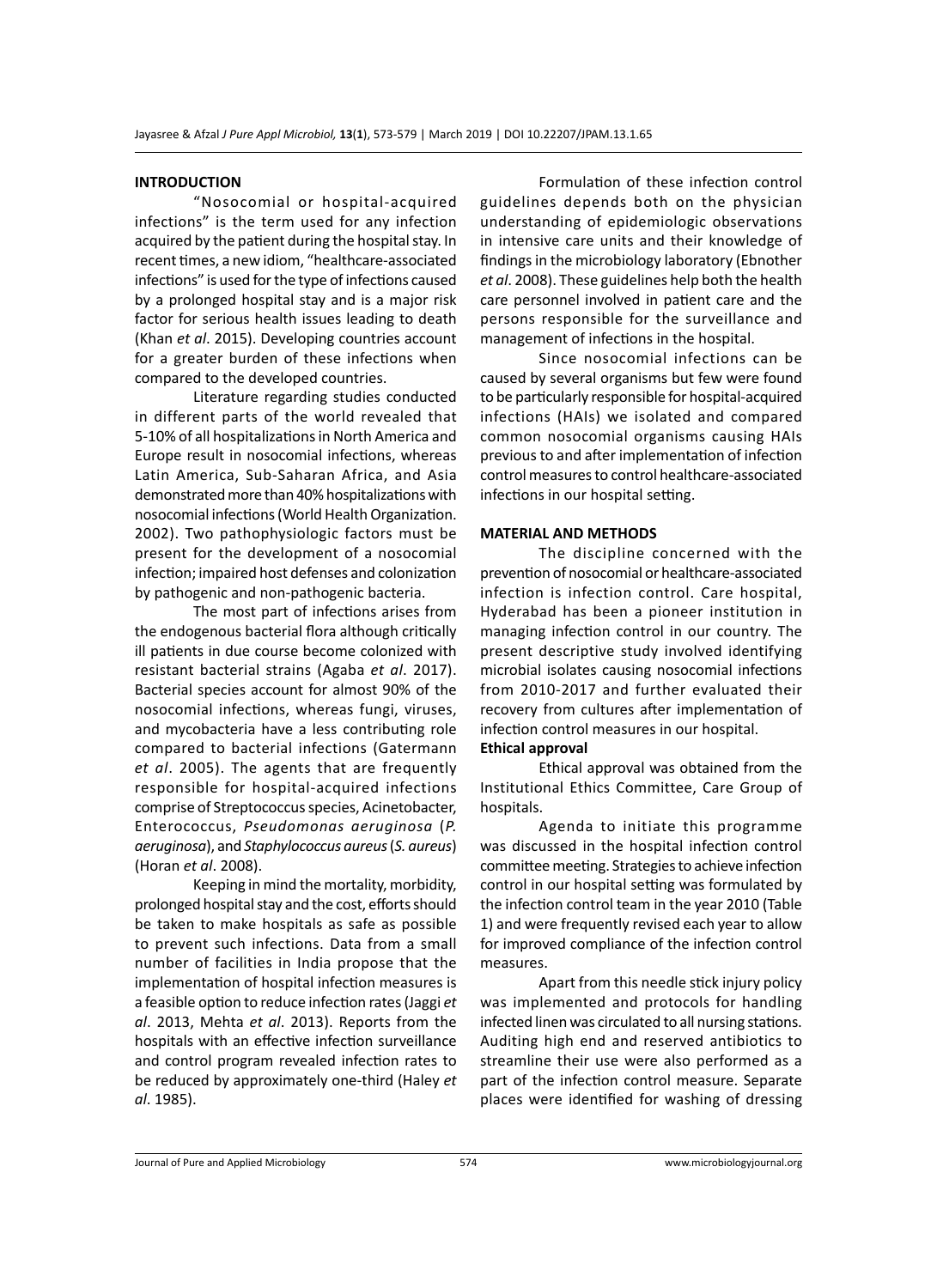#### **INTRODUCTION**

"Nosocomial or hospital-acquired infections" is the term used for any infection acquired by the patient during the hospital stay. In recent times, a new idiom, "healthcare-associated infections" is used for the type of infections caused by a prolonged hospital stay and is a major risk factor for serious health issues leading to death (Khan *et al*. 2015). Developing countries account for a greater burden of these infections when compared to the developed countries.

Literature regarding studies conducted in different parts of the world revealed that 5-10% of all hospitalizations in North America and Europe result in nosocomial infections, whereas Latin America, Sub-Saharan Africa, and Asia demonstrated more than 40% hospitalizations with nosocomial infections (World Health Organization. 2002). Two pathophysiologic factors must be present for the development of a nosocomial infection; impaired host defenses and colonization by pathogenic and non-pathogenic bacteria.

The most part of infections arises from the endogenous bacterial flora although critically ill patients in due course become colonized with resistant bacterial strains (Agaba *et al*. 2017). Bacterial species account for almost 90% of the nosocomial infections, whereas fungi, viruses, and mycobacteria have a less contributing role compared to bacterial infections (Gatermann *et al*. 2005). The agents that are frequently responsible for hospital-acquired infections comprise of Streptococcus species, Acinetobacter, Enterococcus, *Pseudomonas aeruginosa* (*P. aeruginosa*), and *Staphylococcus aureus* (*S. aureus*) (Horan *et al*. 2008).

Keeping in mind the mortality, morbidity, prolonged hospital stay and the cost, efforts should be taken to make hospitals as safe as possible to prevent such infections. Data from a small number of facilities in India propose that the implementation of hospital infection measures is a feasible option to reduce infection rates (Jaggi *et al*. 2013, Mehta *et al*. 2013). Reports from the hospitals with an effective infection surveillance and control program revealed infection rates to be reduced by approximately one-third (Haley *et al*. 1985).

Formulation of these infection control guidelines depends both on the physician understanding of epidemiologic observations in intensive care units and their knowledge of findings in the microbiology laboratory (Ebnother *et al*. 2008). These guidelines help both the health care personnel involved in patient care and the persons responsible for the surveillance and management of infections in the hospital.

Since nosocomial infections can be caused by several organisms but few were found to be particularly responsible for hospital-acquired infections (HAIs) we isolated and compared common nosocomial organisms causing HAIs previous to and after implementation of infection control measures to control healthcare-associated infections in our hospital setting.

#### **MATERIAL AND METHODS**

The discipline concerned with the prevention of nosocomial or healthcare-associated infection is infection control. Care hospital, Hyderabad has been a pioneer institution in managing infection control in our country. The present descriptive study involved identifying microbial isolates causing nosocomial infections from 2010-2017 and further evaluated their recovery from cultures after implementation of infection control measures in our hospital. **Ethical approval** 

Ethical approval was obtained from the Institutional Ethics Committee, Care Group of hospitals.

Agenda to initiate this programme was discussed in the hospital infection control committee meeting. Strategies to achieve infection control in our hospital setting was formulated by the infection control team in the year 2010 (Table 1) and were frequently revised each year to allow for improved compliance of the infection control measures.

Apart from this needle stick injury policy was implemented and protocols for handling infected linen was circulated to all nursing stations. Auditing high end and reserved antibiotics to streamline their use were also performed as a part of the infection control measure. Separate places were identified for washing of dressing

Journal of Pure and Applied Microbiology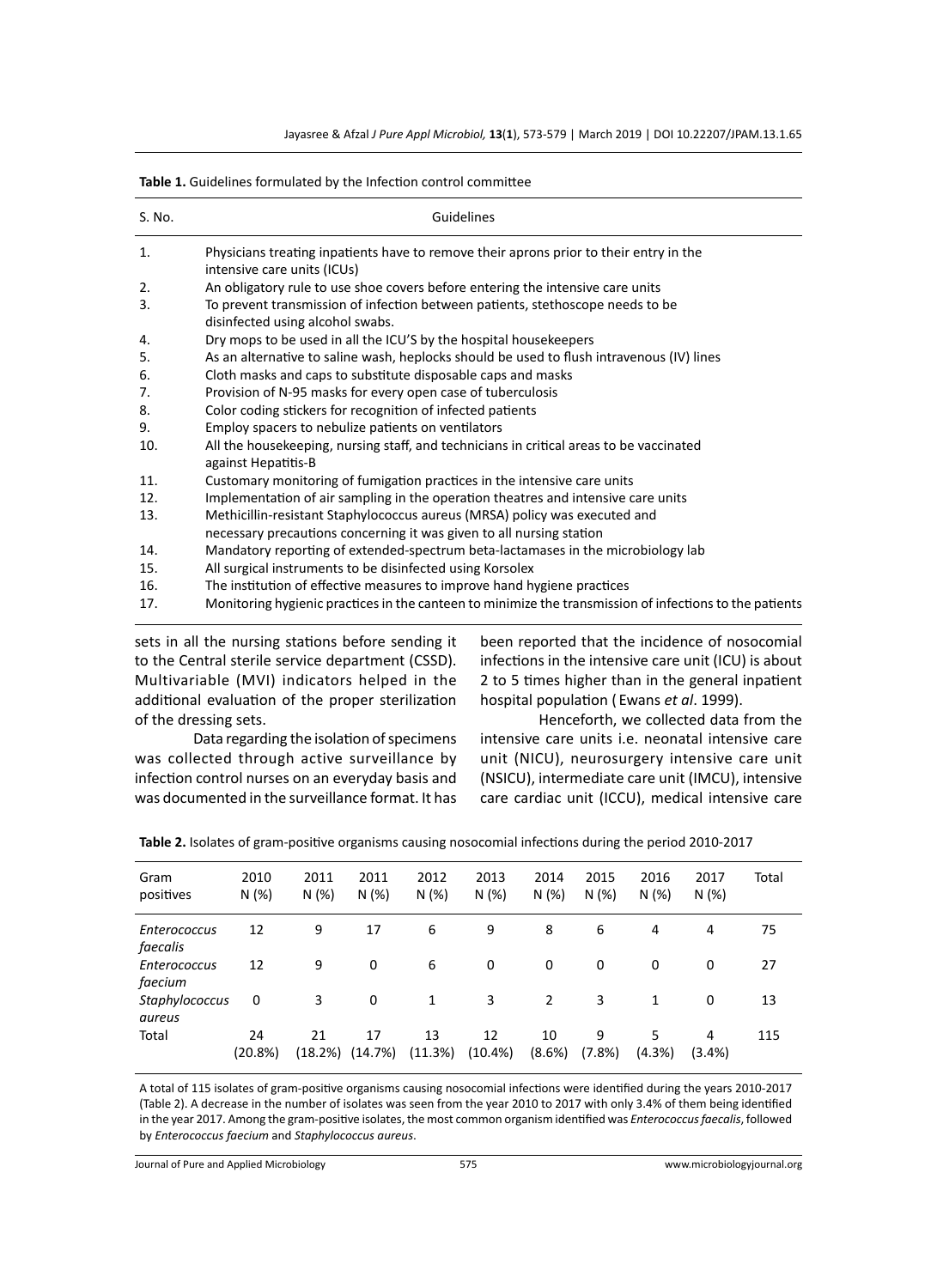| S. No. | Guidelines                                                                                                                                         |
|--------|----------------------------------------------------------------------------------------------------------------------------------------------------|
| 1.     | Physicians treating inpatients have to remove their aprons prior to their entry in the<br>intensive care units (ICUs)                              |
| 2.     | An obligatory rule to use shoe covers before entering the intensive care units                                                                     |
| 3.     | To prevent transmission of infection between patients, stethoscope needs to be<br>disinfected using alcohol swabs.                                 |
| 4.     | Dry mops to be used in all the ICU'S by the hospital housekeepers                                                                                  |
| 5.     | As an alternative to saline wash, heplocks should be used to flush intravenous (IV) lines                                                          |
| 6.     | Cloth masks and caps to substitute disposable caps and masks                                                                                       |
| 7.     | Provision of N-95 masks for every open case of tuberculosis                                                                                        |
| 8.     | Color coding stickers for recognition of infected patients                                                                                         |
| 9.     | Employ spacers to nebulize patients on ventilators                                                                                                 |
| 10.    | All the housekeeping, nursing staff, and technicians in critical areas to be vaccinated<br>against Hepatitis-B                                     |
| 11.    | Customary monitoring of fumigation practices in the intensive care units                                                                           |
| 12.    | Implementation of air sampling in the operation theatres and intensive care units                                                                  |
| 13.    | Methicillin-resistant Staphylococcus aureus (MRSA) policy was executed and<br>necessary precautions concerning it was given to all nursing station |
| 14.    | Mandatory reporting of extended-spectrum beta-lactamases in the microbiology lab                                                                   |
| 15.    | All surgical instruments to be disinfected using Korsolex                                                                                          |
| 16.    | The institution of effective measures to improve hand hygiene practices                                                                            |
| 17.    | Monitoring hygienic practices in the canteen to minimize the transmission of infections to the patients                                            |

|  |  |  | Table 1. Guidelines formulated by the Infection control committee |
|--|--|--|-------------------------------------------------------------------|
|--|--|--|-------------------------------------------------------------------|

sets in all the nursing stations before sending it to the Central sterile service department (CSSD). Multivariable (MVI) indicators helped in the additional evaluation of the proper sterilization of the dressing sets.

been reported that the incidence of nosocomial infections in the intensive care unit (ICU) is about 2 to 5 times higher than in the general inpatient hospital population ( Ewans *et al*. 1999).

Data regarding the isolation of specimens was collected through active surveillance by infection control nurses on an everyday basis and was documented in the surveillance format. It has

Henceforth, we collected data from the intensive care units i.e. neonatal intensive care unit (NICU), neurosurgery intensive care unit (NSICU), intermediate care unit (IMCU), intensive care cardiac unit (ICCU), medical intensive care

| Gram<br>positives               | 2010<br>N(%)  | 2011<br>N(%)  | 2011<br>N(%)  | 2012<br>N (%) | 2013<br>N(%)     | 2014<br>N(%) | 2015<br>N(%) | 2016<br>N(%) | 2017<br>N(%)   | Total |
|---------------------------------|---------------|---------------|---------------|---------------|------------------|--------------|--------------|--------------|----------------|-------|
| <b>Enterococcus</b><br>faecalis | 12            | 9             | 17            | 6             | 9                | 8            | 6            | 4            | 4              | 75    |
| <b>Enterococcus</b><br>faecium  | 12            | 9             | 0             | 6             | 0                | 0            | 0            | 0            | 0              | 27    |
| Staphylococcus<br>aureus        | 0             | 3             | 0             | 1             | 3                | 2            | 3            | 1            | 0              | 13    |
| Total                           | 24<br>(20.8%) | 21<br>(18.2%) | 17<br>(14.7%) | 13<br>(11.3%) | 12<br>$(10.4\%)$ | 10<br>(8.6%) | 9<br>(7.8%)  | 5.<br>(4.3%) | 4<br>$(3.4\%)$ | 115   |

**Table 2.** Isolates of gram-positive organisms causing nosocomial infections during the period 2010-2017

A total of 115 isolates of gram-positive organisms causing nosocomial infections were identified during the years 2010-2017 (Table 2). A decrease in the number of isolates was seen from the year 2010 to 2017 with only 3.4% of them being identified in the year 2017. Among the gram-positive isolates, the most common organism identified was *Enterococcus faecalis*, followed by *Enterococcus faecium* and *Staphylococcus aureus*.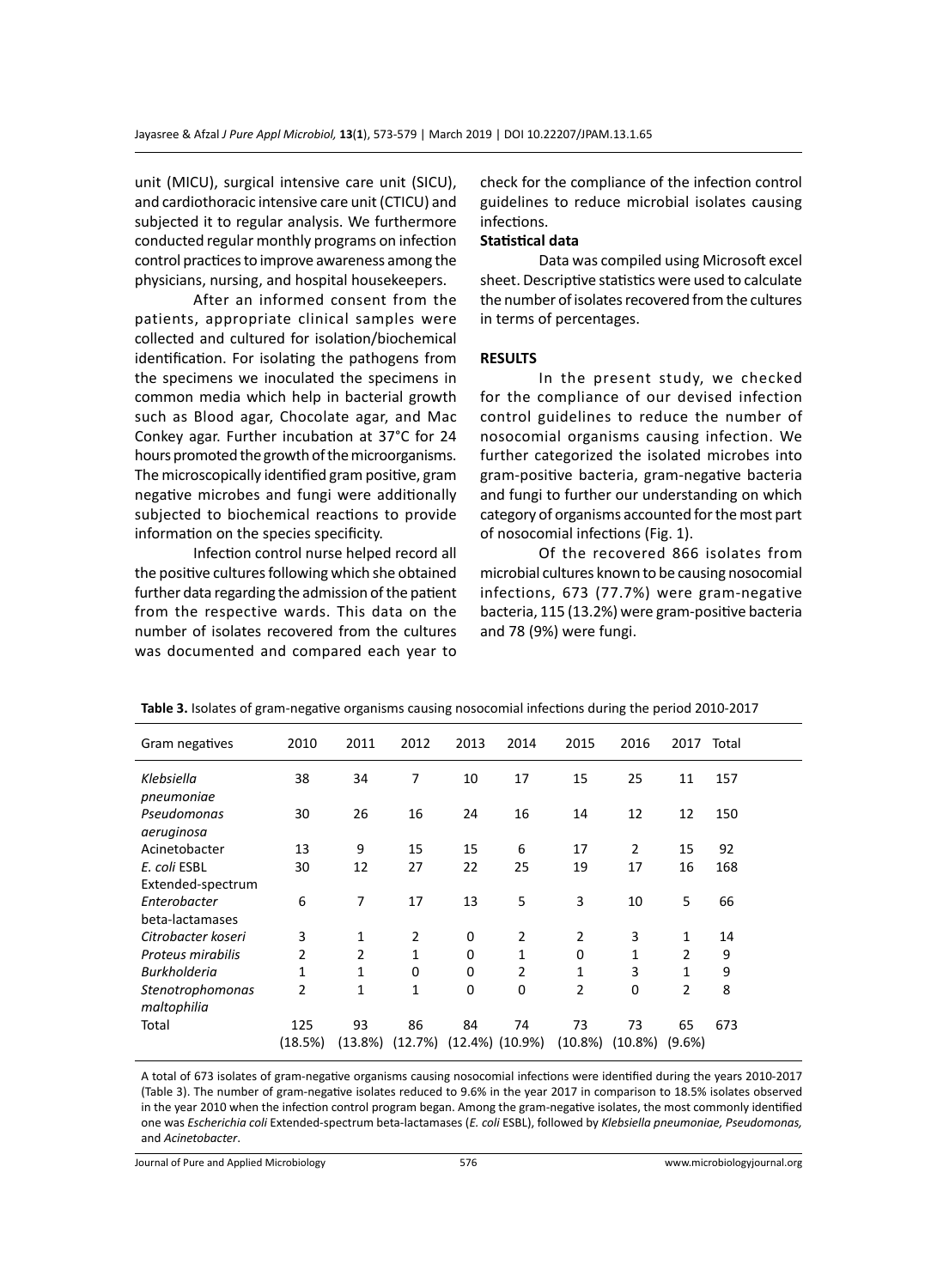unit (MICU), surgical intensive care unit (SICU), and cardiothoracic intensive care unit (CTICU) and subjected it to regular analysis. We furthermore conducted regular monthly programs on infection control practices to improve awareness among the physicians, nursing, and hospital housekeepers.

After an informed consent from the patients, appropriate clinical samples were collected and cultured for isolation/biochemical identification. For isolating the pathogens from the specimens we inoculated the specimens in common media which help in bacterial growth such as Blood agar, Chocolate agar, and Mac Conkey agar. Further incubation at 37°C for 24 hours promoted the growth of the microorganisms. The microscopically identified gram positive, gram negative microbes and fungi were additionally subjected to biochemical reactions to provide information on the species specificity.

Infection control nurse helped record all the positive cultures following which she obtained further data regarding the admission of the patient from the respective wards. This data on the number of isolates recovered from the cultures was documented and compared each year to check for the compliance of the infection control guidelines to reduce microbial isolates causing infections.

### **Statistical data**

Data was compiled using Microsoft excel sheet. Descriptive statistics were used to calculate the number of isolates recovered from the cultures in terms of percentages.

#### **RESULTS**

In the present study, we checked for the compliance of our devised infection control guidelines to reduce the number of nosocomial organisms causing infection. We further categorized the isolated microbes into gram-positive bacteria, gram-negative bacteria and fungi to further our understanding on which category of organisms accounted for the most part of nosocomial infections (Fig. 1).

Of the recovered 866 isolates from microbial cultures known to be causing nosocomial infections, 673 (77.7%) were gram-negative bacteria, 115 (13.2%) were gram-positive bacteria and 78 (9%) were fungi.

| Gram negatives      | 2010    | 2011           | 2012     | 2013 | 2014                  | 2015           | 2016           | 2017 Total     |     |
|---------------------|---------|----------------|----------|------|-----------------------|----------------|----------------|----------------|-----|
| Klebsiella          | 38      | 34             | 7        | 10   | 17                    | 15             | 25             | 11             | 157 |
| pneumoniae          |         |                |          |      |                       |                |                |                |     |
| Pseudomonas         | 30      | 26             | 16       | 24   | 16                    | 14             | 12             | 12             | 150 |
| aeruginosa          |         |                |          |      |                       |                |                |                |     |
| Acinetobacter       | 13      | 9              | 15       | 15   | 6                     | 17             | $\overline{2}$ | 15             | 92  |
| E. coli ESBL        | 30      | 12             | 27       | 22   | 25                    | 19             | 17             | 16             | 168 |
| Extended-spectrum   |         |                |          |      |                       |                |                |                |     |
| Enterobacter        | 6       | 7              | 17       | 13   | 5                     | 3              | 10             | 5              | 66  |
| beta-lactamases     |         |                |          |      |                       |                |                |                |     |
| Citrobacter koseri  | 3       | 1              | 2        | 0    | 2                     | 2              | 3              | 1              | 14  |
| Proteus mirabilis   | 2       | $\overline{2}$ | 1        | 0    | 1                     | 0              | 1              | 2              | 9   |
| <b>Burkholderia</b> | 1       | 1              | $\Omega$ | 0    | 2                     | 1              | 3              | 1              | 9   |
| Stenotrophomonas    | 2       | $\mathbf{1}$   | 1        | 0    | $\mathbf 0$           | $\overline{2}$ | $\mathbf 0$    | $\overline{2}$ | 8   |
| maltophilia         |         |                |          |      |                       |                |                |                |     |
| Total               | 125     | 93             | 86       | 84   | 74                    | 73             | 73             | 65             | 673 |
|                     | (18.5%) | (13.8%)        | (12.7%)  |      | $(12.4\%)$ $(10.9\%)$ | (10.8%)        | $(10.8\%)$     | $(9.6\%)$      |     |

**Table 3.** Isolates of gram-negative organisms causing nosocomial infections during the period 2010-2017

A total of 673 isolates of gram-negative organisms causing nosocomial infections were identified during the years 2010-2017 (Table 3). The number of gram-negative isolates reduced to 9.6% in the year 2017 in comparison to 18.5% isolates observed in the year 2010 when the infection control program began. Among the gram-negative isolates, the most commonly identified one was *Escherichia coli* Extended-spectrum beta-lactamases (*E. coli* ESBL), followed by *Klebsiella pneumoniae, Pseudomonas,*  and *Acinetobacter*.

Journal of Pure and Applied Microbiology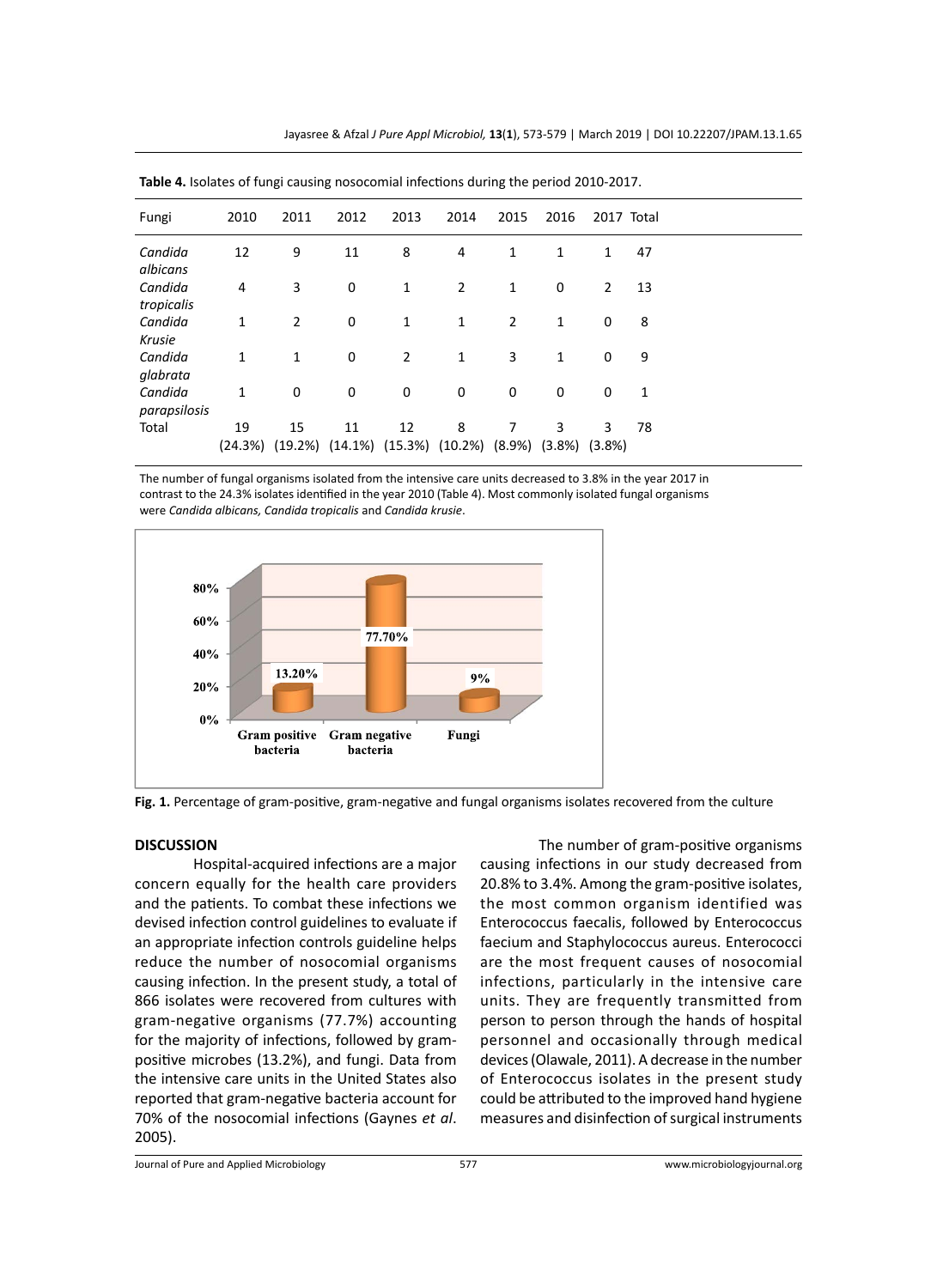| <b>Rapic +.</b> Boldies of Tungi causing hosocomial infections during the period 2010 2017. |               |                |      |      |                                                                                |                |              |                |              |  |
|---------------------------------------------------------------------------------------------|---------------|----------------|------|------|--------------------------------------------------------------------------------|----------------|--------------|----------------|--------------|--|
| Fungi                                                                                       | 2010          | 2011           | 2012 | 2013 | 2014                                                                           | 2015           | 2016         | 2017 Total     |              |  |
| Candida<br>albicans                                                                         | 12            | 9              | 11   | 8    | 4                                                                              | 1              | 1            | $\mathbf{1}$   | 47           |  |
| Candida<br>tropicalis                                                                       | 4             | 3              | 0    | 1    | $\overline{2}$                                                                 | 1              | 0            | $\overline{2}$ | 13           |  |
| Candida<br>Krusie                                                                           | 1             | $\overline{2}$ | 0    | 1    | $\mathbf{1}$                                                                   | $\overline{2}$ | $\mathbf{1}$ | 0              | 8            |  |
| Candida<br>glabrata                                                                         | 1             | 1              | 0    | 2    | $\mathbf{1}$                                                                   | 3              | $\mathbf{1}$ | 0              | 9            |  |
| Candida<br>parapsilosis                                                                     | 1             | 0              | 0    | 0    | 0                                                                              | 0              | 0            | 0              | $\mathbf{1}$ |  |
| Total                                                                                       | 19<br>(24.3%) | 15             | 11   | 12   | 8<br>$(19.2\%)$ $(14.1\%)$ $(15.3\%)$ $(10.2\%)$ $(8.9\%)$ $(3.8\%)$ $(3.8\%)$ | 7              | 3            | 3              | 78           |  |

**Table 4.** Isolates of fungi causing nosocomial infections during the period 2010-2017.

The number of fungal organisms isolated from the intensive care units decreased to 3.8% in the year 2017 in contrast to the 24.3% isolates identified in the year 2010 (Table 4). Most commonly isolated fungal organisms were *Candida albicans, Candida tropicalis* and *Candida krusie*.



**Fig. 1.** Percentage of gram-positive, gram-negative and fungal organisms isolates recovered from the culture

#### **DISCUSSION**

Hospital-acquired infections are a major concern equally for the health care providers and the patients. To combat these infections we devised infection control guidelines to evaluate if an appropriate infection controls guideline helps reduce the number of nosocomial organisms causing infection. In the present study, a total of 866 isolates were recovered from cultures with gram-negative organisms (77.7%) accounting for the majority of infections, followed by grampositive microbes (13.2%), and fungi. Data from the intensive care units in the United States also reported that gram-negative bacteria account for 70% of the nosocomial infections (Gaynes *et al*. 2005).

The number of gram-positive organisms causing infections in our study decreased from 20.8% to 3.4%. Among the gram-positive isolates, the most common organism identified was Enterococcus faecalis, followed by Enterococcus faecium and Staphylococcus aureus. Enterococci are the most frequent causes of nosocomial infections, particularly in the intensive care units. They are frequently transmitted from person to person through the hands of hospital personnel and occasionally through medical devices (Olawale, 2011). A decrease in the number of Enterococcus isolates in the present study could be attributed to the improved hand hygiene measures and disinfection of surgical instruments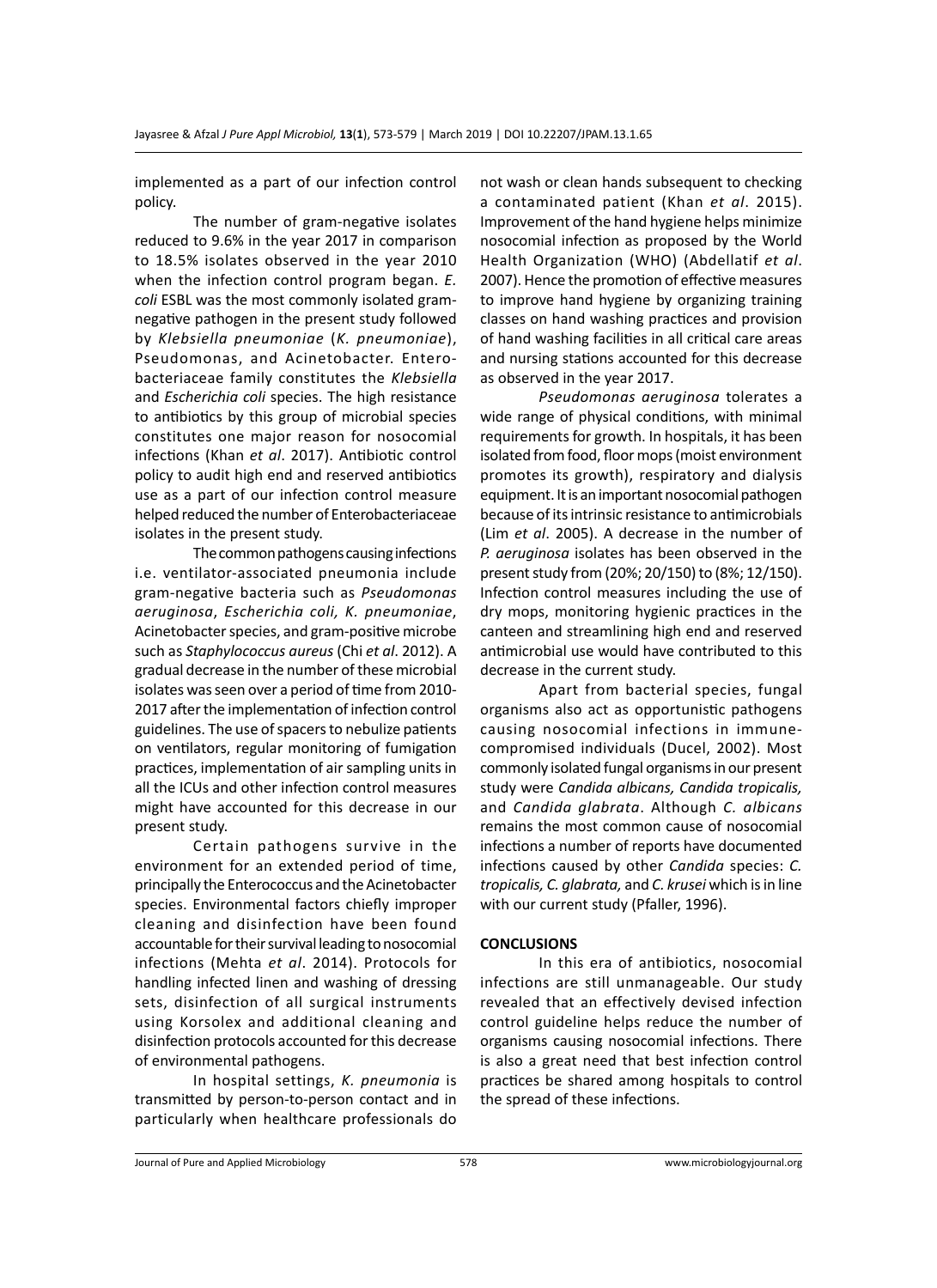implemented as a part of our infection control policy.

The number of gram-negative isolates reduced to 9.6% in the year 2017 in comparison to 18.5% isolates observed in the year 2010 when the infection control program began. *E. coli* ESBL was the most commonly isolated gramnegative pathogen in the present study followed by *Klebsiella pneumoniae* (*K. pneumoniae*), Pseudomonas, and Acinetobacter. Enterobacteriaceae family constitutes the *Klebsiella*  and *Escherichia coli* species. The high resistance to antibiotics by this group of microbial species constitutes one major reason for nosocomial infections (Khan *et al*. 2017). Antibiotic control policy to audit high end and reserved antibiotics use as a part of our infection control measure helped reduced the number of Enterobacteriaceae isolates in the present study.

The common pathogens causing infections i.e. ventilator-associated pneumonia include gram-negative bacteria such as *Pseudomonas aeruginosa*, *Escherichia coli, K. pneumoniae*, Acinetobacter species, and gram-positive microbe such as *Staphylococcus aureus* (Chi *et al*. 2012). A gradual decrease in the number of these microbial isolates was seen over a period of time from 2010- 2017 after the implementation of infection control guidelines. The use of spacers to nebulize patients on ventilators, regular monitoring of fumigation practices, implementation of air sampling units in all the ICUs and other infection control measures might have accounted for this decrease in our present study.

Certain pathogens survive in the environment for an extended period of time, principally the Enterococcus and the Acinetobacter species. Environmental factors chiefly improper cleaning and disinfection have been found accountable for their survival leading to nosocomial infections (Mehta *et al*. 2014). Protocols for handling infected linen and washing of dressing sets, disinfection of all surgical instruments using Korsolex and additional cleaning and disinfection protocols accounted for this decrease of environmental pathogens.

In hospital settings, *K. pneumonia* is transmitted by person-to-person contact and in particularly when healthcare professionals do not wash or clean hands subsequent to checking a contaminated patient (Khan *et al*. 2015). Improvement of the hand hygiene helps minimize nosocomial infection as proposed by the World Health Organization (WHO) (Abdellatif *et al*. 2007). Hence the promotion of effective measures to improve hand hygiene by organizing training classes on hand washing practices and provision of hand washing facilities in all critical care areas and nursing stations accounted for this decrease as observed in the year 2017.

*Pseudomonas aeruginosa* tolerates a wide range of physical conditions, with minimal requirements for growth. In hospitals, it has been isolated from food, floor mops (moist environment promotes its growth), respiratory and dialysis equipment. It is an important nosocomial pathogen because of its intrinsic resistance to antimicrobials (Lim *et al*. 2005). A decrease in the number of *P. aeruginosa* isolates has been observed in the present study from (20%; 20/150) to (8%; 12/150). Infection control measures including the use of dry mops, monitoring hygienic practices in the canteen and streamlining high end and reserved antimicrobial use would have contributed to this decrease in the current study.

Apart from bacterial species, fungal organisms also act as opportunistic pathogens causing nosocomial infections in immunecompromised individuals (Ducel, 2002). Most commonly isolated fungal organisms in our present study were *Candida albicans, Candida tropicalis,*  and *Candida glabrata*. Although *C. albicans*  remains the most common cause of nosocomial infections a number of reports have documented infections caused by other *Candida* species: *C. tropicalis, C. glabrata,* and *C. krusei* which is in line with our current study (Pfaller, 1996).

#### **CONCLUSIONS**

In this era of antibiotics, nosocomial infections are still unmanageable. Our study revealed that an effectively devised infection control guideline helps reduce the number of organisms causing nosocomial infections. There is also a great need that best infection control practices be shared among hospitals to control the spread of these infections.